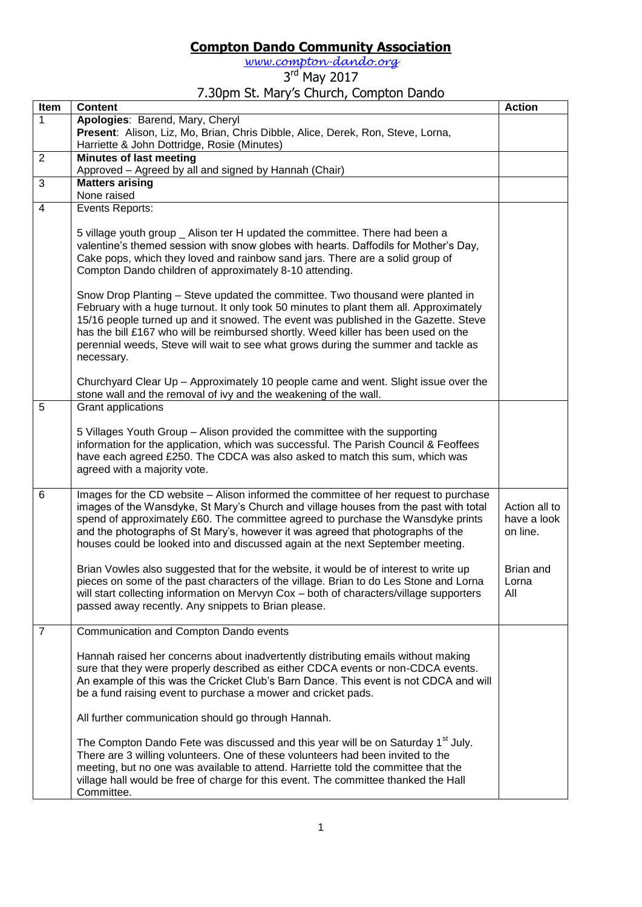## **Compton Dando Community Association**

*[www.compton-dando.org](http://www.compton-dando.org/)*

## 3<sup>rd</sup> May 2017

## 7.30pm St. Mary's Church, Compton Dando

| Item           | <b>Content</b>                                                                                                                                                                                                                                                                                                                                                                                                                                            | <b>Action</b>                            |
|----------------|-----------------------------------------------------------------------------------------------------------------------------------------------------------------------------------------------------------------------------------------------------------------------------------------------------------------------------------------------------------------------------------------------------------------------------------------------------------|------------------------------------------|
| 1              | Apologies: Barend, Mary, Cheryl                                                                                                                                                                                                                                                                                                                                                                                                                           |                                          |
|                | Present: Alison, Liz, Mo, Brian, Chris Dibble, Alice, Derek, Ron, Steve, Lorna,                                                                                                                                                                                                                                                                                                                                                                           |                                          |
|                | Harriette & John Dottridge, Rosie (Minutes)                                                                                                                                                                                                                                                                                                                                                                                                               |                                          |
| $\overline{2}$ | <b>Minutes of last meeting</b>                                                                                                                                                                                                                                                                                                                                                                                                                            |                                          |
|                | Approved - Agreed by all and signed by Hannah (Chair)                                                                                                                                                                                                                                                                                                                                                                                                     |                                          |
| $\overline{3}$ | <b>Matters arising</b>                                                                                                                                                                                                                                                                                                                                                                                                                                    |                                          |
|                | None raised                                                                                                                                                                                                                                                                                                                                                                                                                                               |                                          |
| $\overline{4}$ | Events Reports:                                                                                                                                                                                                                                                                                                                                                                                                                                           |                                          |
|                | 5 village youth group _ Alison ter H updated the committee. There had been a<br>valentine's themed session with snow globes with hearts. Daffodils for Mother's Day,<br>Cake pops, which they loved and rainbow sand jars. There are a solid group of<br>Compton Dando children of approximately 8-10 attending.                                                                                                                                          |                                          |
|                | Snow Drop Planting – Steve updated the committee. Two thousand were planted in<br>February with a huge turnout. It only took 50 minutes to plant them all. Approximately<br>15/16 people turned up and it snowed. The event was published in the Gazette. Steve<br>has the bill £167 who will be reimbursed shortly. Weed killer has been used on the<br>perennial weeds, Steve will wait to see what grows during the summer and tackle as<br>necessary. |                                          |
|                | Churchyard Clear Up - Approximately 10 people came and went. Slight issue over the<br>stone wall and the removal of ivy and the weakening of the wall.                                                                                                                                                                                                                                                                                                    |                                          |
| 5              | Grant applications                                                                                                                                                                                                                                                                                                                                                                                                                                        |                                          |
|                | 5 Villages Youth Group - Alison provided the committee with the supporting<br>information for the application, which was successful. The Parish Council & Feoffees<br>have each agreed £250. The CDCA was also asked to match this sum, which was<br>agreed with a majority vote.                                                                                                                                                                         |                                          |
| 6              | Images for the CD website – Alison informed the committee of her request to purchase<br>images of the Wansdyke, St Mary's Church and village houses from the past with total<br>spend of approximately £60. The committee agreed to purchase the Wansdyke prints<br>and the photographs of St Mary's, however it was agreed that photographs of the<br>houses could be looked into and discussed again at the next September meeting.                     | Action all to<br>have a look<br>on line. |
|                | Brian Vowles also suggested that for the website, it would be of interest to write up<br>pieces on some of the past characters of the village. Brian to do Les Stone and Lorna<br>will start collecting information on Mervyn Cox - both of characters/village supporters<br>passed away recently. Any snippets to Brian please.                                                                                                                          | Brian and<br>Lorna<br>All                |
| $\overline{7}$ | Communication and Compton Dando events                                                                                                                                                                                                                                                                                                                                                                                                                    |                                          |
|                | Hannah raised her concerns about inadvertently distributing emails without making<br>sure that they were properly described as either CDCA events or non-CDCA events.<br>An example of this was the Cricket Club's Barn Dance. This event is not CDCA and will<br>be a fund raising event to purchase a mower and cricket pads.                                                                                                                           |                                          |
|                | All further communication should go through Hannah.                                                                                                                                                                                                                                                                                                                                                                                                       |                                          |
|                | The Compton Dando Fete was discussed and this year will be on Saturday 1 <sup>st</sup> July.<br>There are 3 willing volunteers. One of these volunteers had been invited to the<br>meeting, but no one was available to attend. Harriette told the committee that the<br>village hall would be free of charge for this event. The committee thanked the Hall<br>Committee.                                                                                |                                          |